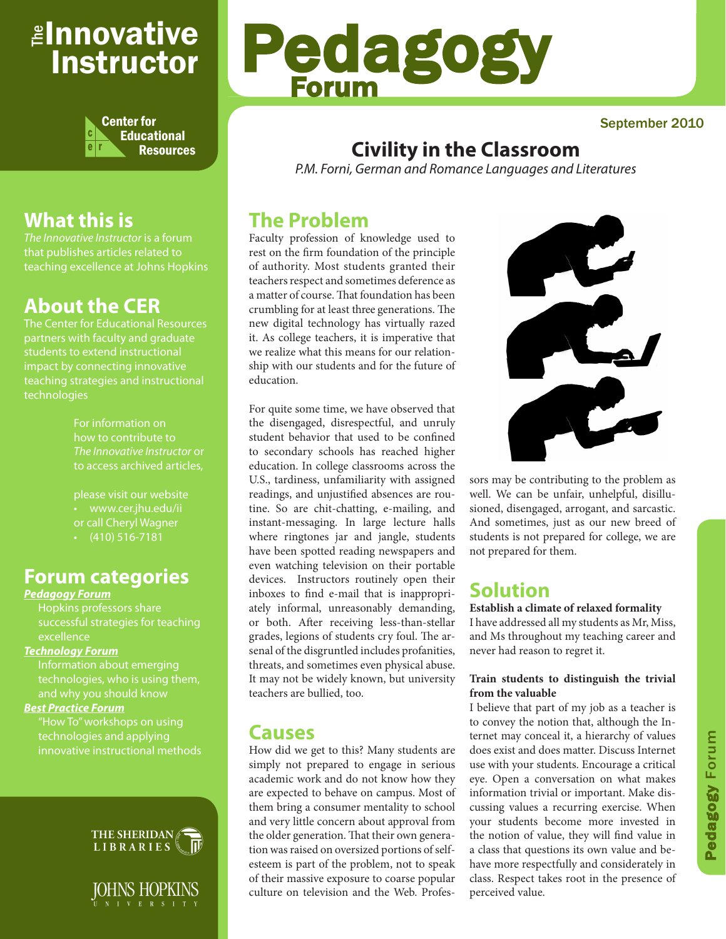## *≝Innovative* Instructor



# Pedagogy Forum

#### September 2010

### **Civility in the Classroom**

*P.M. Forni, German and Romance Languages and Literatures* 

### **The Problem**

Faculty profession of knowledge used to rest on the firm foundation of the principle of authority. Most students granted their teachers respect and sometimes deference as a matter of course. That foundation has been crumbling for at least three generations. The new digital technology has virtually razed it. As college teachers, it is imperative that we realize what this means for our relationship with our students and for the future of education.

For quite some time, we have observed that the disengaged, disrespectful, and unruly student behavior that used to be confined to secondary schools has reached higher education. In college classrooms across the U.S., tardiness, unfamiliarity with assigned readings, and unjustified absences are routine. So are chit-chatting, e-mailing, and instant-messaging. In large lecture halls where ringtones jar and jangle, students have been spotted reading newspapers and even watching television on their portable devices. Instructors routinely open their inboxes to find e-mail that is inappropriately informal, unreasonably demanding, or both. After receiving less-than-stellar grades, legions of students cry foul. The arsenal of the disgruntled includes profanities, threats, and sometimes even physical abuse. It may not be widely known, but university teachers are bullied, too.

### **Causes**

How did we get to this? Many students are simply not prepared to engage in serious academic work and do not know how they are expected to behave on campus. Most of them bring a consumer mentality to school and very little concern about approval from the older generation. That their own generation was raised on oversized portions of selfesteem is part of the problem, not to speak of their massive exposure to coarse popular culture on television and the Web. Profes-



sors may be contributing to the problem as well. We can be unfair, unhelpful, disillusioned, disengaged, arrogant, and sarcastic. And sometimes, just as our new breed of students is not prepared for college, we are not prepared for them.

### **Solution**

**Establish a climate of relaxed formality** I have addressed all my students as Mr, Miss, and Ms throughout my teaching career and never had reason to regret it.

#### **Train students to distinguish the trivial from the valuable**

I believe that part of my job as a teacher is to convey the notion that, although the Internet may conceal it, a hierarchy of values does exist and does matter. Discuss Internet use with your students. Encourage a critical eye. Open a conversation on what makes information trivial or important. Make discussing values a recurring exercise. When your students become more invested in the notion of value, they will find value in a class that questions its own value and behave more respectfully and considerately in class. Respect takes root in the presence of perceived value.

### **What this is**

*The Innovative Instructor* is a forum that publishes articles related to teaching excellence at Johns Hopkins

### **About the CER**

The Center for Educational Resources partners with faculty and graduate impact by connecting innovative teaching strategies and instructional technologies

> For information on how to contribute to *The Innovative Instructor* or to access archived articles,

• www.cer.jhu.edu/ii or call Cheryl Wagner  $\cdot$  (410) 516-7181

### **Forum categories**

#### *Pedagogy Forum*

Hopkins professors share successful strategies for teaching excellence

#### *Technology Forum*

Information about emerging technologies, who is using them,

#### *Best Practice Forum*

technologies and applying